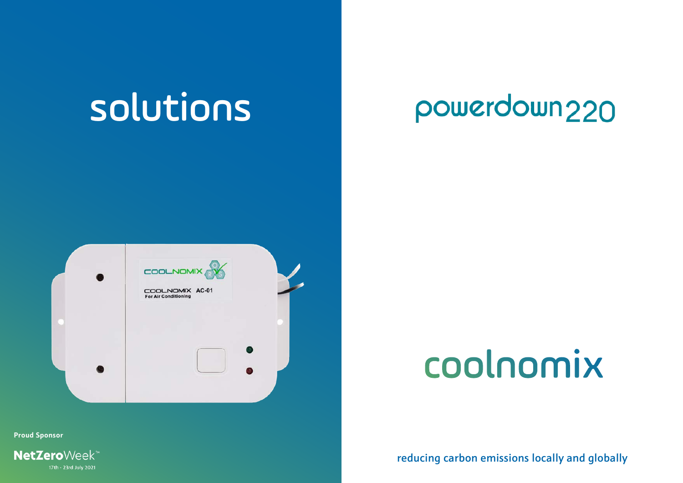## solutions

## powerdown220



## coolnomix

reducing carbon emissions locally and globally

**[Proud Sponsor](https://netzeroweek.com/business/#/)**

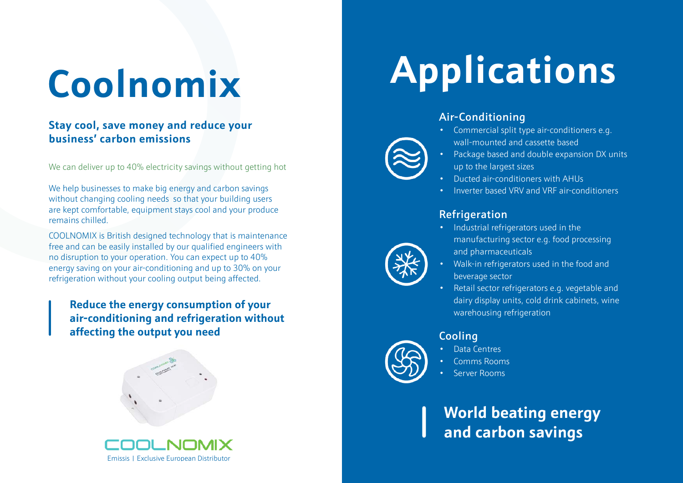# **Coolnomix**

#### **Stay cool, save money and reduce your business' carbon emissions**

We can deliver up to 40% electricity savings without getting hot

We help businesses to make big energy and carbon savings without changing cooling needs so that your building users are kept comfortable, equipment stays cool and your produce remains chilled.

COOLNOMIX is British designed technology that is maintenance free and can be easily installed by our qualified engineers with no disruption to your operation. You can expect up to 40% energy saving on your air-conditioning and up to 30% on your refrigeration without your cooling output being affected.

**Reduce the energy consumption of your air-conditioning and refrigeration without affecting the output you need**





# **Applications**

#### Air-Conditioning

- Commercial split type air-conditioners e.g. wall-mounted and cassette based
- Package based and double expansion DX units up to the largest sizes
- Ducted air-conditioners with AHUs
- Inverter based VRV and VRF air-conditioners

#### **Refrigeration**

- Industrial refrigerators used in the manufacturing sector e.g. food processing and pharmaceuticals
- Walk-in refrigerators used in the food and beverage sector
- Retail sector refrigerators e.g. vegetable and dairy display units, cold drink cabinets, wine warehousing refrigeration



- Cooling • Data Centres
- Comms Rooms
- 
- Server Rooms

### **World beating energy and carbon savings**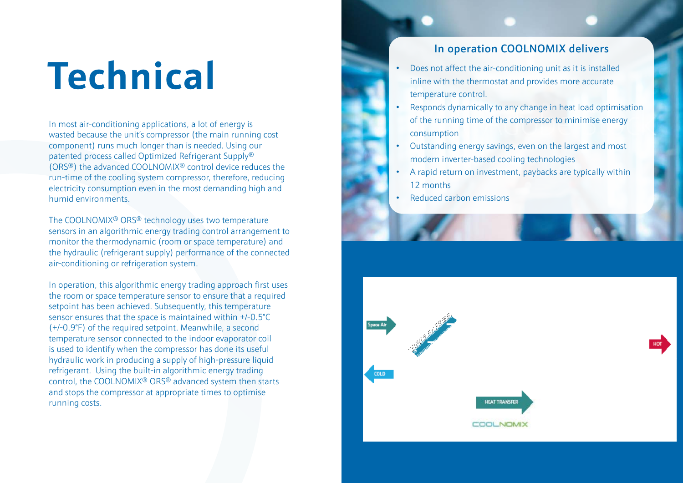# **Technical**

In most air-conditioning applications, a lot of energy is wasted because the unit's compressor (the main running cost component) runs much longer than is needed. Using our patented process called Optimized Refrigerant Supply® (ORS®) the advanced COOLNOMIX® control device reduces the run-time of the cooling system compressor, therefore, reducing electricity consumption even in the most demanding high and humid environments.

The COOLNOMIX® ORS® technology uses two temperature sensors in an algorithmic energy trading control arrangement to monitor the thermodynamic (room or space temperature) and the hydraulic (refrigerant supply) performance of the connected air-conditioning or refrigeration system.

In operation, this algorithmic energy trading approach first uses the room or space temperature sensor to ensure that a required setpoint has been achieved. Subsequently, this temperature sensor ensures that the space is maintained within +/-0.5°C (+/-0.9°F) of the required setpoint. Meanwhile, a second temperature sensor connected to the indoor evaporator coil is used to identify when the compressor has done its useful hydraulic work in producing a supply of high-pressure liquid refrigerant. Using the built-in algorithmic energy trading control, the COOLNOMIX® ORS® advanced system then starts and stops the compressor at appropriate times to optimise running costs.

#### In operation COOLNOMIX delivers

- Does not affect the air-conditioning unit as it is installed inline with the thermostat and provides more accurate temperature control.
- Responds dynamically to any change in heat load optimisation of the running time of the compressor to minimise energy consumption
- Outstanding energy savings, even on the largest and most modern inverter-based cooling technologies
- A rapid return on investment, paybacks are typically within 12 months
- Reduced carbon emissions